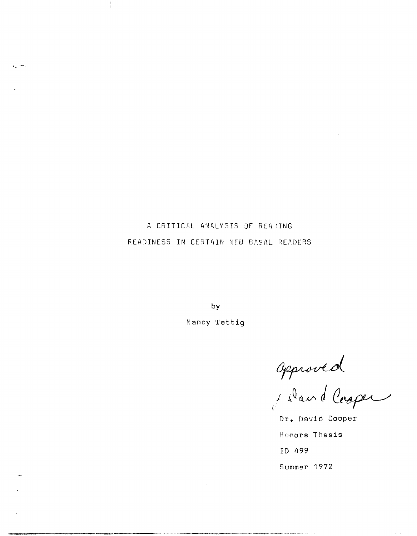A CRITICAL ANALYSIS OF READING READINESS IN CERTAIN NEW BASAL READERS

by

Nancy Wettig

approved<br>Jand Cooper

**Dr.** David Cooper Honors Thesis ID 499 Summer 1972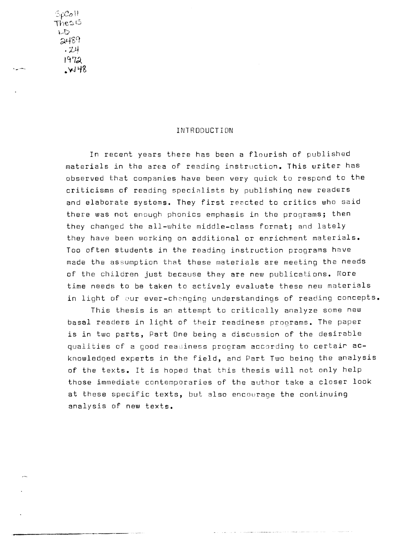$SpCoII$ Thesis  $\cup$  $2489$  $.74$ 1972 **.W'1Z** 

~- .\_-

## INTRODUCTION

In recent years there has been a flourish of published materials in the area of reading instruction. This writer has observed that companies have been very quick to respond to the criticisms of reading specialists by publishing new readers and elaborate systems. They first reacted to critics who said there was not enough phonics emphasis in the programs; then they changed the all-white middle-class format; and lately they have been working on additional or enrichment materials. Too often students in the reading instruction programs have made the assumption that these materials are meeting the needs of the children just because they are new publications. More time needs to be taken to actively evaluate these new materials in light of our ever-changing understandings of reading concepts.

This thesis is an attempt to critically analyze some new basal readers in light of their readiness programs. The paper is in two parts, Part One being a discussion of the desirable qualities of a good rea iness program according to certair acknowledged experts in the field, and Part Two being the analysis of the texts. It is hoped that this thesis will not only help those immediate contemporaries of the author take a closer look at these specific texts, but also encourage the continuing analysis of new texts.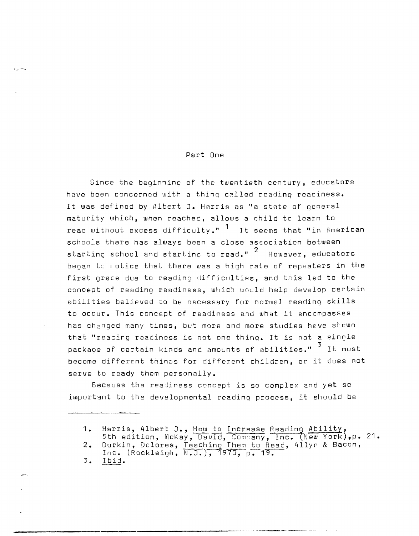## Part One

Since the beginning of the twentieth century, educators have been concerned with a thing called reading readiness. It was defined by Albert J. Harris as "a state of general maturity which, when reached, allows a child to learn to read without excess difficulty."  $1$  It seems that "in American schools there has always been a close association between  $\frac{1}{2}$  starting school and starting to read."  $^2$  However, educators began to rotice that there was a high rate of repeaters in the first grace due to reading difficulties, and this led to the concept of reading readiness, which would help develop certain abilities believed to be necessary for normal reading skills to occur. This concept of readiness and what it enccmpasses has changed many times, but more and more studies have shown that "reacing readiness is not one thing. It is not a single package of certain kinds and amounts of abilities."  $\frac{3}{5}$  It must become different things for different children, or it does not serve to ready them personally.

Because the readiness concept is so complex and yet so important to the developmental readinq process, it should be

 $1 \cdot$ Harris, Albert J., <u>How to Increase Reading Ability</u>,<br>5th edition, McKay, David, Company, Inc. (New York),p.<br>Durkin, Dolores, Isashine Iber to Bead, Allyn & Basen. 21.

<sup>2.</sup>  Durkin, Dolores, Teaching Them to Read, Allyn & Bacon, Inc. (Rockleigh, N.J.), 1970, p. 19.

<sup>3.</sup>  Ibid.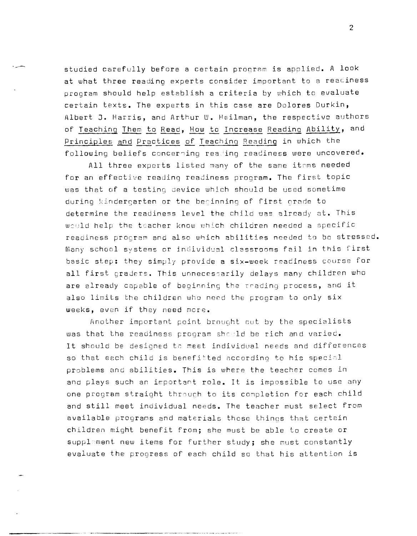studied carefully before a certain program is applied. A look at what three reading experts consider important to a reaciness program should help establish a criteria by which to evaluate certain texts. The experts in this case are Dolores Durkin, Albert **J.** Harris, and Arthur W. Heilman, the respective authors of Teaching Them to Read, How to Increase Reading Ability, and Principles and Practices of Teaching Reading in which the following beliefs concerning reading readiness were uncovered.

All three experts listed many of the same items needed for an effective reading readiness program. The first topic was that of a testing oevice which should be used sometime during kindergarten or the becinning of first orade to determine the readiness level the child was already at. This would help the teacher know which children needed a specific readiness program and also which abilities needed to be stressed. Many school systems or individual classrooms fail in this first basic step: they simply provide a six-week readiness course for all first graders. This unnecessarily delays many children who are already capable of beginning the rrading process, and it also limits the children who need the program to only six weeks, even if they need more.

Another important point brouQht cut by the specialists was that the readiness program should be rich and varied. It should be designed to meet individual needs and differences so that each child is benefitted according to his special problems and abilities. This is where the teacher comes in and plays such an important role. It is impossible to use any one program straight through to its completion for each child and still meet individual needs. The teacher must select from available prograns and materials these thinqs that certain children might benefit from; she must be able to create or supplament new items for further study; she must constantly evaluate the progress of each child so that his attention is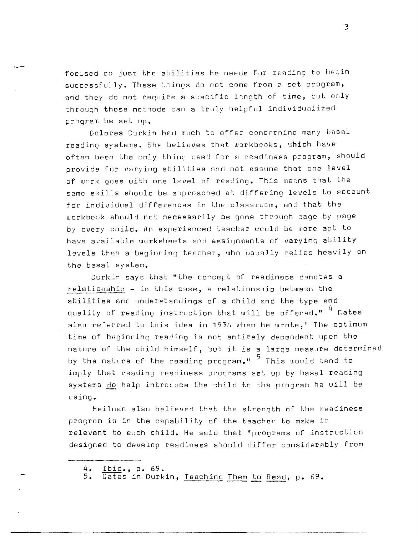focused on just the abilities he needs for reading to begin successfully. These things do not come from a set program, and they do not require a specific length of time, but only through these methods can a truly helpful individualized program be set up.

Dolores Durkin had much to offer concerning many basal reading systems. She believes that workbooks, which have often been the only thing used for a readiness program, should provide for varying abilities and not assume that one level of wcrk goes with one level of reading. This me2ns that the same skills should be approached at differing levels to account for individual differences in the classroom, and that the workbook should not necessarily be gone through page by page by every child. An experienced teacher would be more apt to have available worksheets and assignments of varying ability levels than a beginning teacher, who usually relies heavily on the basal system.

Durkin says that "the concept of readiness denotes a relationship - in this case, a relationship between the abilities and understandings of a child and the type and quality of reading instruction that will be offered."  $4$  Gates also referred to this idea in 1936 when he wrote," The optimum time of beginninq reading is not entirely dependent upon the nature of the child himself, but it is a large measure determined by the nature of the readino program."  $5$  This would tend to imply that reading readiness programs set up by basal reading systems do help introduce the child to the program he will be using.

Heilman also believed that the strength of the readiness program is in the capability of the teacher to make it relevant to each child. He said that "programs of instruction designed to develop readiness should differ considerably from

**4. Ibid., p. 69.** 

**.- .--..** 

 $\overline{Gate}$  in Durkin, Teaching Them to Read, p. 69.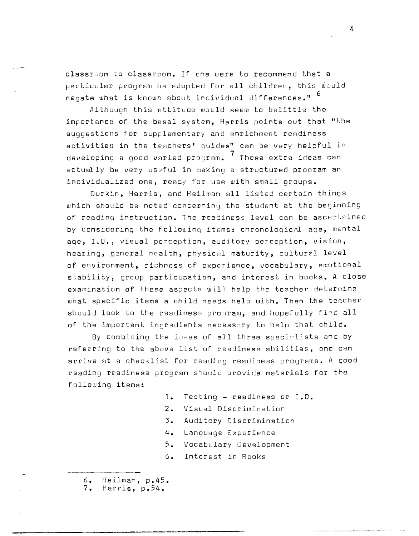classroom to classroom. If one were to recommend that a particular program be adopted for all children, this would negate what is known about individual differences."  $6$ 

Although this attitude would seem to belittle the importance of the basal system, Harris points out that "the suggestions for supplementary and enrichment readiness activities in the teachers' guides" can be very helpful in developing a good varied  $prox$ . These extra ideas can actually be very useful in making a structured program an individualized one, ready for use with small groups.

Durkin, Harris, and Heilman all listed certain things which should be noted concerning the student at the beginning of reading instruction. The readiness level can be ascertained by considering the following items: chronological age, mental age, I.Q., visual perception, auditory perception, vision, hearing, general health, physical maturity, cultural level of environment, richness of experience, vocabulary, emotional stability, group particupation, and interest in books. A close examination of these aspects will help the teacher deternine what specific items a child needs help with. Then the teacher should look to the readiness pronram, and hopefully find all of the important incredients necessary to help that child.

By combining the ideas of all three specialists and by referring to the above list of readiness abilities, one can arrive at a checklist for reading readiness programs. A good reading readiness program should provide materials for the following items:

- 1. Testing readiness or I.Q.
- 2. Visual Discrim:nation
- 3. Auditory Discrimination
- 4. Language Experience
- 5. Vocabulary Development
- 6. Interest in Books
- 6. Heilman, p.45.<br>7. Harris, p.54.

Harris, p.54.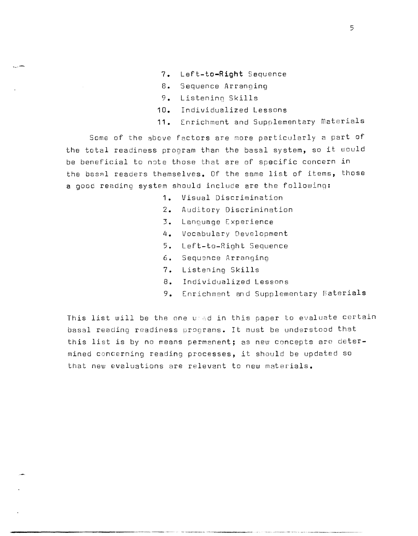- **7.** Left-to-Right Sequence
- 8. Sequence Arranging
- 9. Listening Skills

~---

- **10.** Individualized Lessons
- **11.** Enrichment and Supplementary Materials

Some of the above factors are more particularly a part of the total readiness program than the basal system, so it would be beneficial to note those that are of specific concern in the basnl readers themselves. Of the same list of items, those a good reading system should include are the following:

- **1.** Visual Discrimination
- 2. Auditory Discrimination
- 3. Language Experience
- **4.** Vocabulary Development
- 5. Left-to-Right Sequence
- 6. Sequ9nce Arranging
- **7.** Listening Skills
- 8. Individualized Lessons
- 9. Enrichment and Supplementary materials

This list will be the one uned in this paper to evaluate certain basal reading readiness programs. It must be understood that this list is by no means permanent; as new concepts are determined concerning reading processes, it should be updated so that new evaluations are relevant to new materials.

------ -\_.\_------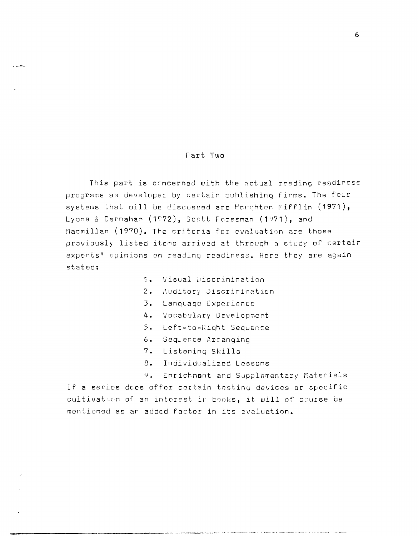## Part Two

This part is concerned with the actual reading readiness programs as developed by certain publishing firms. The four systems that will be discussed are Houghten Mifflin (1971), Lyons & Carnahan  $(1972)$ , Scott Foresman  $(1971)$ , and Macmillan (1970). The criteria for evaluation are those praviously listed items arrived at through a study of certain experts' opinions on reading readiness. Here they are again stated:

- 1. Visual Discrimination
- 2. Auditory Discrimination
- 3. Language Experience
- 4. Vocabulary Development
- 5. Left-to-Right Sequence
- 6. Sequence Arranging
- 7. Listeninq Skills
- 8. Individualized Lessons
- 9. Enrichmant and Supplementary Materials If a series does offer certain testiny devices or specific cultivation of an interest in books, it will of course be mentioned as an added factor in its evaluation.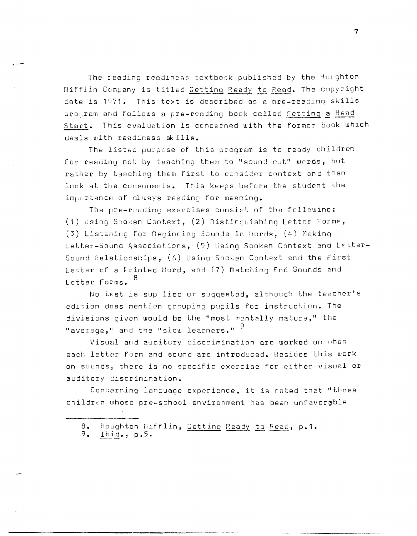The reading readiness textbook published by the Houghton Mifflin Company is titled Getting Ready to Read. The copyright date is 1971. This text is described as a pre-reading skills program and follows a pre-reading book called Setting a Head start. This evaluation is concerned with the former book which deals with readiness sk ills.

The listed purpese of this program is to ready children for reading not by teaching them to "sound out" words, but rather by teaching them first to consider context and then look at the consonants. This keeps before the student the importance of always reading for meaning.

The pre-reading exercises consist of the following: (1) Using Spoken Context, (2) Distinquishinq Letter Forms, (3) Listening for Beginning Sounds in Words,  $(4)$  Making Letter-Sound Associations, (5) Using Spoken Context and Letter-Sound Relationships, (6) Using Sopken Context and the First Letter of a Frinted Word, and (7) Matching End Sounds and Letter Forms. 8

No test is supplied or suggested, although the teacher's edition does mention grouping pupils for instruction. The divisions given would be the "most mentally mature," the "average," and the "slow learners."  $^9$ 

Visual and auditory discrimination are worked on when each letter forn and sound are introduced. Besides this work on sounds, there is no specific exercise for either visual or auditory discrimination.

Concerning lanquage experience, it is noted that "those children whose pre-school environment has been unfavorable

<sup>8.</sup> Houghton Mifflin, Getting Ready to Read, p.1.<br>9. Ibid., p.5.

Ibid., p.5.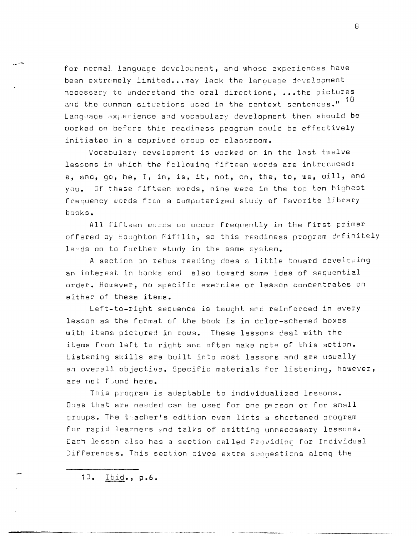for normal language development, and whose experiences have been extremely limited... may lack the lanouace development necessary to understand the oral directions, •.• the pictures and the common situations used in the context sentences."  $^{10}$ Langwage experience and vocabulary development then should be worked on before this readiness program could be effectively initiated in a deprived group or classroom.

Vocabulary development is worked on in the last twelve lessons in which the fcllowing fifteen words are introduced: a, and, go, he, I, in, is, it, not, on, the, to, we, will, and you. Of these fifteen words, nine were in the top ten highest frequency words from a computerized study of favorite library books.

All fifteen words do occur frequently in the first primer offered by Houghton Mifflin, so this readiness program definitely leads on to further study in the same system.

A section on rebus reading does a little toward developing an interest in bocks and also toward some idea of sequential order. However, no specific exercise or lesson concentrates on either of these items.

Left-to-right sequence is taught and reinforced in every lesson as the format of the book is in color-schemed boxes with items pictured in rows. These lessons deal with the items from left to riqht and often make note of this action. Listening skills are built into most lessons and are usually an overall objective. Specific materials for listening, however, are not found here.

This program is adaptable to individualized lessons. Ones that are needed can be used for one person or for small groups. The teacher's edition even lists a shortened program for rapid learners and talks of omitting unnecessary lessons. Each lesson also has a section called Providing for Individual Differences. This section qives extra suggestions along the

10. Ibid., p.6.

-------""----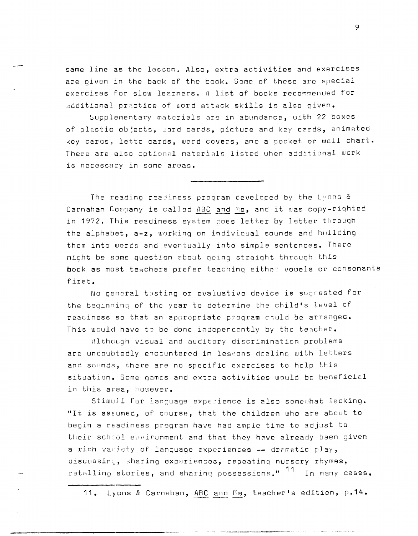same line as the lesson. Also, extra activities and exercises are given in the back of the book. Some of these are special exercises for slow learners. A list of books recommended for additional practice of word attack skills is also given.

Supplementary materials are in abundance, with 22 boxes of plastic objects, word cards, picture and key cards, animated key cards, letto cards, word covers, and a pocket or wall chart. There are also optional materials listed when additional work is necessary in some areas.

The reading readiness program developed by the Lyons  $\&$ Carnahan Company is called ABC and Me, and it was copy-righted in 1972. This readiness system coes letter by letter through the alphabet, a-z, warking on individual sounds and building them into words and eventually into simple sentences. There might be some question about going straiaht through this book as most teachers prefer teaching either vowels or consonants first.

No general testing or evaluative device is suqpested for the beginning of the year to determine the child's level of readiness so that an appropriate program could be arranged. This would have to be done independently by the teacher.

Although visual and auditory discrimination problems are undoubtedly encountered in lessons dealing with letters and sounds, there are no specific exercises to help this situation. Some games and extra activities would be beneficial in this area, however.

Stimuli for language experience is also somewhat lacking. "It is assumed, of course, that the children who are about to begin a readiness program have had ample time to adjust to their school environment and that they have already been given a rich variety of language experiences -- dramatic play, discussing, sharing experiences, repeating nursery rhymes, ratelling stories, and sharing possessions."  $11$  In many cases,

**11.** Lyons & Carnahan, ABC and me, teacher's edition, **p.14.** 

**----------------------------------'--------**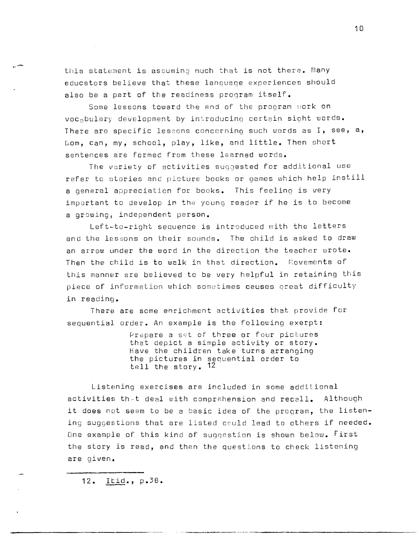this statement is assuming much that is not there. Many educators believe that these language experiences should also be a part of the readiness program itself.

Some lessons toward the end of the program work on VOCabulary development by introducino certain sight words. There are specific lessons conc8rning such words as **I,** see, **a,**  Liom, can, my, school, play, like, and little. Then Bhort sentences are formed from these learned words.

The variety of activities suqqested for additional use refer to stories and picture books or games which help instill a general appreciation for books. This feeling is very important to develop in the young reader if he is to become a growing, independent person.

Left-to-right sequence is introduced with the letters and the lessons on their sounds. The child is asked to draw an arrow under the word in the direction the teacher wrote. Then the child is to walk in that direction. Rovements of this manner are believed to be very helpful in retaining this piece of information which sometimes causes great difficulty in reading.

There are some enrichment activities that provide for sequential order. An example is the following exerpt:

> Prepare a set of three or four pictures that depict a simple activity or story. Have the children take turns arranging the pictures in sequential order to tell the story. 12

Listening exercises are included in some additional activities th-t deal with comprshension and recall. Although it does not seem to be a basic idea of the program, the listening suggestions that are listed could lead to others if needed. One example of this kind of suggestion is shown below. First the story is read, and then the questions to check listening are given.

**12. lEid., p.3B.**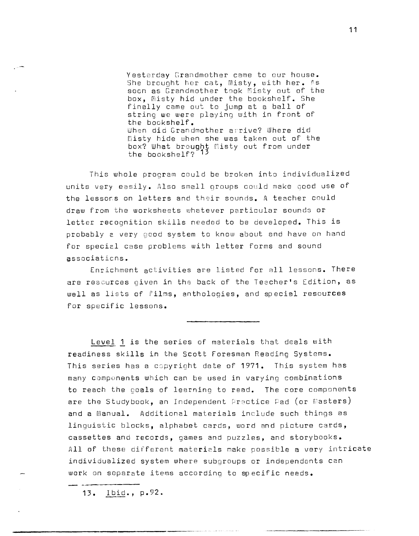Yesterday Grandmother came to our house. She brought her cat, Misty, with her.  $\Lambda s$ soon as Grandmother took Misty out of the box, misty hid under the bookshelf. She finally came out to jump at a ball of string we were playing with in front of the bookshelf. When did Grandmother arrive? Where did misty hide when she was taken out of the box? What brought Misty out from under the bookshelf? 13

This whole program could be broken into individualized units very easily. Also small groups could make good use of the lessons on letters and their sounds. A teacher could draw from the worksheets whatever particular sounds or letter recognition skills needed to be developed. This is probably 2 very good system to know about and have on hand for special case problems with letter forms and sound associations.

Enrichment activities are listed for all lessons. There are rescurces given in the back of the Teacher's Edition, as well as lists of films, anthologies, and special resources for specific lessons.

Level 1 is the series of materials that deals with readiness skills in the Scott Foresman Reading Systems. This series has a cspyright date of **1971.** This system has many components which can be used in varying combinations to reach the goals of learning to read. The core components are the Studybook, an Independent Practice Pad (or Masters) and a manual. Additional materials include such things as linguistic blocks, alphabet cards, word and picture cards, cassettes and records, games and puzzles, and storybooks. All of these different materials make possible a very intricate individualized system where subgroups or independents can work on separate items according to specific needs.

**13.** Ibid., p.92.

**---------------------------------------**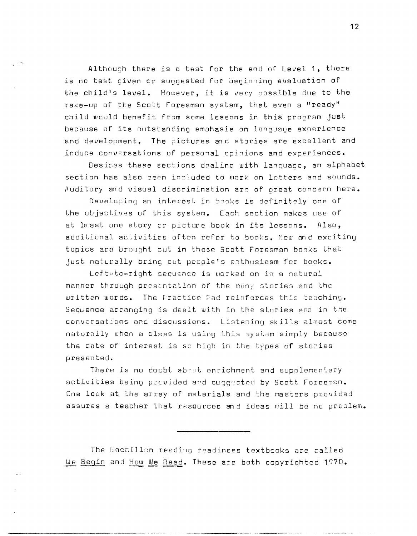Although there is a test for the end of Level **1,** there is no test given or suggested for beginning evaluation of the child's level. However, it is very possible due to the make-up of the Scott Foresman system, that even a "ready" child would benefit from some lessons in this program just because of its outstanding emphasis on language experience and development. The pictures md stories are excellent and induce conversations of personal opinions and experiences.

Besides these sections dealing with language, an alphabet section has also been included to work on letters and sounds. Auditory and visual discrimination are of great concern here.

Developing an interest in books is definitely one of the objectives of this system. Each section makes use of at least one story or picture book in its lessons. Also, additional activities often refer to books. New and exciting topics are brought out in these Scott Foresman books that just naturally bring out people's enthusiasm for books.

Left-to-right sequence is worked on in a natural manner through presentation of the many stories and the written words. The Practice Pad reinforces this teaching. Sequence arranging is dealt with in the stories and in the conversations and discussions. Listening skills almost come naturally when a class is using this system simply because the rate of interest is so hiqh in the types of stories presented.

There is no doubt about enrichment and supplementary activities being provided and suggested by Scott Foresman. One look at the array of materials and the masters provided assures a teacher that resources and ideas will be no problem.

The Macmillen reading readiness textbooks are called We Begin and How We Read. These are both copyrighted 1970.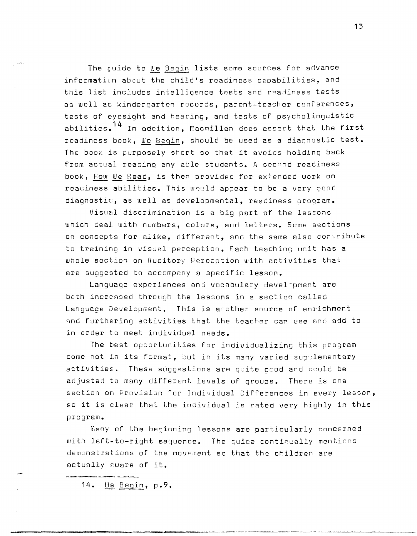The quide to We Begin lists some sources for advance information about the child's readiness capabilities, and this list includes intelligence tests and readiness tests as well as kindergarten records, parent-teacher conferences, tests of eyesight and hearing, and tests of psycholinguistic abilities.  $14$  In addition,  $%$  acmillan does assert that the first readiness book, We Begin, should be used as a diaonostic test. The book is purposely short so that it avoids holding back from actual reading any able students. A second readiness book, How We Read, is then provided for extended work on readiness abilities. This wculd appear to be a very good diagnostic, as well as developmental, readiness program.

Visual discrimination is a big part of the lessons which deal with numbers, colors, and letters. Some sections on concepts for alike, different, and the same also contribute to training in visual perception. Each teachinq unit has a whole section on Auditory Perception with activities that are suggested to accompany a specific lesson.

Language experiences and vocabulary devel-pment are both increased throuqh the lessons in a section called Language Development. This is another source of enrichment and furthering activities that the teacher can use and add to in order to meet individual needs.

The best opportunities for individualizing this program come not in its format, but in its many varied supplementary activities. These suggestions are quite good and cculd be adjusted to many different levels of groups. There is one section on Provision for Individual Differences in every lesson, so it is clear that the individual is rated very highly in this program.

many of the beginning lessons are particularly concerned with left-to-right sequence. The cuide continually mentions demanstrations of the movement so that the children are actually eware of **it.** 

---------------\_.\_--\_.\_--.

14. We Begin, p.9.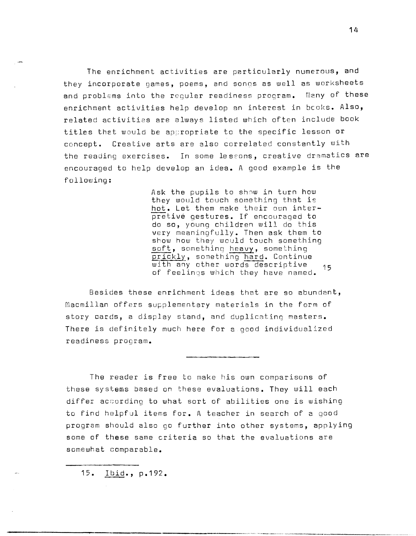The enrichment activities are particularly numerous, and they incorporate games, poems, and songs as well as worksheets and problems into the reqular readiness program. Many of these enrichment activities help develop an interest in books. Also, related activities are always listed which often include book titles that would be appropriate to the specific lesson or concept. Creative arts are also correlated constantly with the reading exercises. In some lessons, creative dramatics are encouraged to help develop an idea. A good example is the following:

> Ask the pupils to show in turn how they would touch something that is hot. Let them make their own interpretive gestures. If encouraged to do so, young children will do this very meaningfully. Then ask them to show how they would touch something soft, something heavy, something prickly, something hard. Continue with any other words descriptive 15 of feelinqs which they have named.

Besides these enrichment ideas that are so abundant, Macmillan offers supplementary materials in the form of story cards, a display stand, and duplicating masters. There is definitely much here for a good individualized readiness program.

The reader is free to make his own comparisons of these systems based on these evaluations. They will each differ according to what sort of abilities one is wishing to find helpful items for. A teacher in search of a good program should also go further into other systems, applying some of these same criteria so that the evaluations are somewhat comparable.

**15 • .!J?i9..,** p.192.

**----------------------------------\_.---------**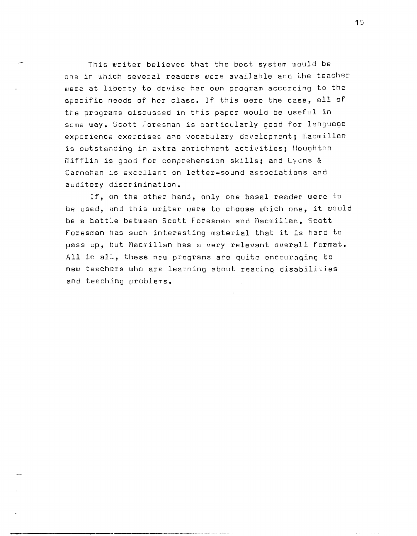This writer believes that the best system would be one in which several readers were available and the teacher were at liberty to deviso her own proqram according to the specific needs of her class. If this were the case, all of the programs discussed in this paper would be useful in some way. Scott Foresman is particularly good for language experience exercises and vocabulary development; macmillan is outstanding in extra enrichment activities; Houghton mifflin is good for comprehension skills; and Lycns & Carnahan is excellent on letter-sound associations and auditory discrimination.

If, on the other hand, only one basal reader were to be used, and this writer were to choose which one, it would be a batt:e between Scott Foresman and macmillan. Scott Foresman has such interesting material that it is hard to pass up, but Macmillan has a very relevant overall format. All in all, these new programs are quite encouraging to new teachers who are lea~ning about reading disabilities and teaching problems.